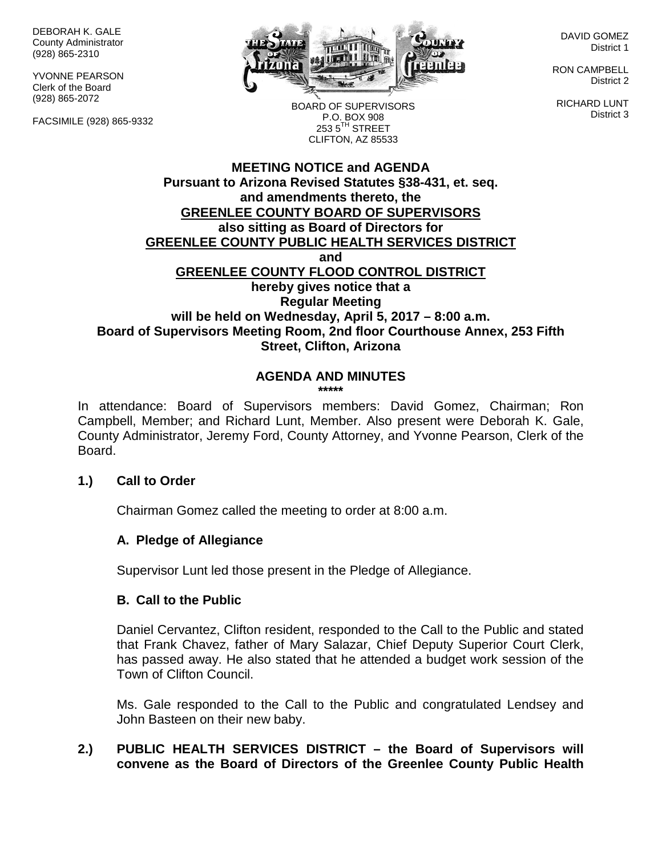DEBORAH K. GALE County Administrator (928) 865-2310

YVONNE PEARSON Clerk of the Board (928) 865-2072

FACSIMILE (928) 865-9332



DAVID GOMEZ District 1

RON CAMPBELL District 2

RICHARD LUNT District 3

BOARD OF SUPERVISORS P.O. BOX 908  $253.5$ <sup>TH</sup> STREET CLIFTON, AZ 85533

# **MEETING NOTICE and AGENDA Pursuant to Arizona Revised Statutes §38-431, et. seq. and amendments thereto, the GREENLEE COUNTY BOARD OF SUPERVISORS also sitting as Board of Directors for GREENLEE COUNTY PUBLIC HEALTH SERVICES DISTRICT and GREENLEE COUNTY FLOOD CONTROL DISTRICT hereby gives notice that a Regular Meeting will be held on Wednesday, April 5, 2017 – 8:00 a.m. Board of Supervisors Meeting Room, 2nd floor Courthouse Annex, 253 Fifth Street, Clifton, Arizona**

# **AGENDA AND MINUTES**

**\*\*\*\*\***

In attendance: Board of Supervisors members: David Gomez, Chairman; Ron Campbell, Member; and Richard Lunt, Member. Also present were Deborah K. Gale, County Administrator, Jeremy Ford, County Attorney, and Yvonne Pearson, Clerk of the Board.

# **1.) Call to Order**

Chairman Gomez called the meeting to order at 8:00 a.m.

# **A. Pledge of Allegiance**

Supervisor Lunt led those present in the Pledge of Allegiance.

#### **B. Call to the Public**

Daniel Cervantez, Clifton resident, responded to the Call to the Public and stated that Frank Chavez, father of Mary Salazar, Chief Deputy Superior Court Clerk, has passed away. He also stated that he attended a budget work session of the Town of Clifton Council.

Ms. Gale responded to the Call to the Public and congratulated Lendsey and John Basteen on their new baby.

# **2.) PUBLIC HEALTH SERVICES DISTRICT – the Board of Supervisors will convene as the Board of Directors of the Greenlee County Public Health**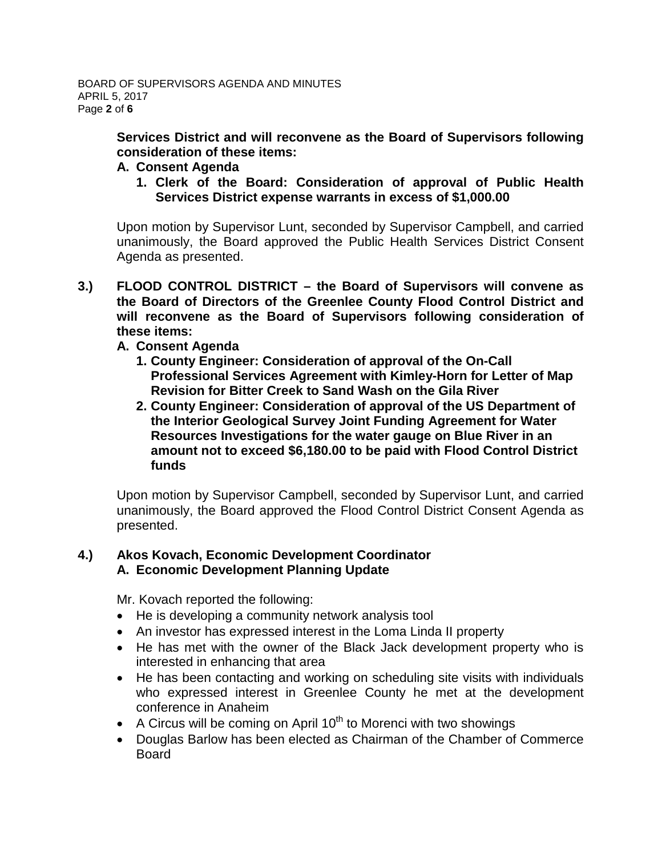**Services District and will reconvene as the Board of Supervisors following consideration of these items:**

- **A. Consent Agenda**
	- **1. Clerk of the Board: Consideration of approval of Public Health Services District expense warrants in excess of \$1,000.00**

Upon motion by Supervisor Lunt, seconded by Supervisor Campbell, and carried unanimously, the Board approved the Public Health Services District Consent Agenda as presented.

- **3.) FLOOD CONTROL DISTRICT – the Board of Supervisors will convene as the Board of Directors of the Greenlee County Flood Control District and will reconvene as the Board of Supervisors following consideration of these items:**
	- **A. Consent Agenda**
		- **1. County Engineer: Consideration of approval of the On-Call Professional Services Agreement with Kimley-Horn for Letter of Map Revision for Bitter Creek to Sand Wash on the Gila River**
		- **2. County Engineer: Consideration of approval of the US Department of the Interior Geological Survey Joint Funding Agreement for Water Resources Investigations for the water gauge on Blue River in an amount not to exceed \$6,180.00 to be paid with Flood Control District funds**

Upon motion by Supervisor Campbell, seconded by Supervisor Lunt, and carried unanimously, the Board approved the Flood Control District Consent Agenda as presented.

# **4.) Akos Kovach, Economic Development Coordinator A. Economic Development Planning Update**

Mr. Kovach reported the following:

- He is developing a community network analysis tool
- An investor has expressed interest in the Loma Linda II property
- He has met with the owner of the Black Jack development property who is interested in enhancing that area
- He has been contacting and working on scheduling site visits with individuals who expressed interest in Greenlee County he met at the development conference in Anaheim
- A Circus will be coming on April  $10^{th}$  to Morenci with two showings
- Douglas Barlow has been elected as Chairman of the Chamber of Commerce Board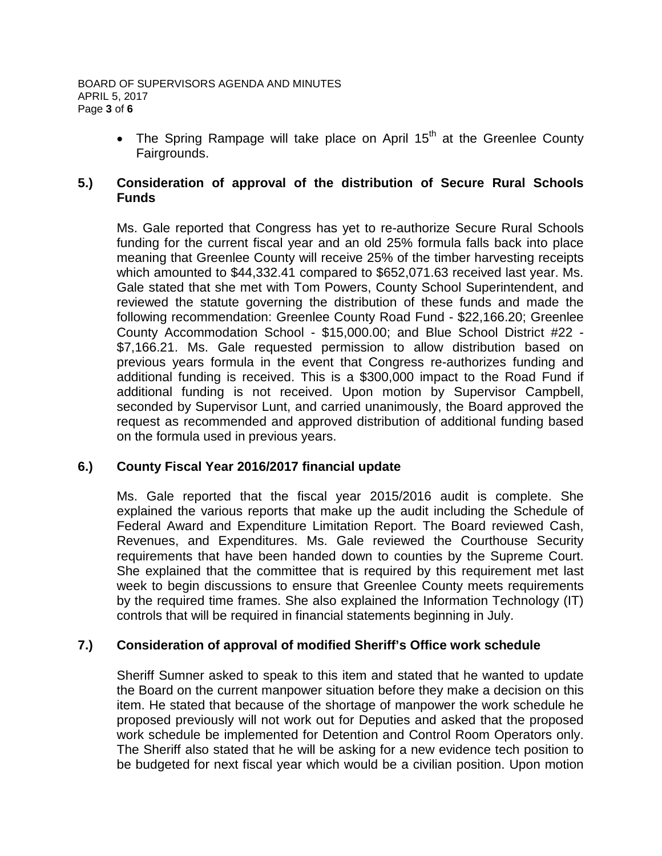• The Spring Rampage will take place on April  $15<sup>th</sup>$  at the Greenlee County Fairgrounds.

# **5.) Consideration of approval of the distribution of Secure Rural Schools Funds**

Ms. Gale reported that Congress has yet to re-authorize Secure Rural Schools funding for the current fiscal year and an old 25% formula falls back into place meaning that Greenlee County will receive 25% of the timber harvesting receipts which amounted to \$44,332.41 compared to \$652,071.63 received last year. Ms. Gale stated that she met with Tom Powers, County School Superintendent, and reviewed the statute governing the distribution of these funds and made the following recommendation: Greenlee County Road Fund - \$22,166.20; Greenlee County Accommodation School - \$15,000.00; and Blue School District #22 - \$7,166.21. Ms. Gale requested permission to allow distribution based on previous years formula in the event that Congress re-authorizes funding and additional funding is received. This is a \$300,000 impact to the Road Fund if additional funding is not received. Upon motion by Supervisor Campbell, seconded by Supervisor Lunt, and carried unanimously, the Board approved the request as recommended and approved distribution of additional funding based on the formula used in previous years.

# **6.) County Fiscal Year 2016/2017 financial update**

Ms. Gale reported that the fiscal year 2015/2016 audit is complete. She explained the various reports that make up the audit including the Schedule of Federal Award and Expenditure Limitation Report. The Board reviewed Cash, Revenues, and Expenditures. Ms. Gale reviewed the Courthouse Security requirements that have been handed down to counties by the Supreme Court. She explained that the committee that is required by this requirement met last week to begin discussions to ensure that Greenlee County meets requirements by the required time frames. She also explained the Information Technology (IT) controls that will be required in financial statements beginning in July.

# **7.) Consideration of approval of modified Sheriff's Office work schedule**

Sheriff Sumner asked to speak to this item and stated that he wanted to update the Board on the current manpower situation before they make a decision on this item. He stated that because of the shortage of manpower the work schedule he proposed previously will not work out for Deputies and asked that the proposed work schedule be implemented for Detention and Control Room Operators only. The Sheriff also stated that he will be asking for a new evidence tech position to be budgeted for next fiscal year which would be a civilian position. Upon motion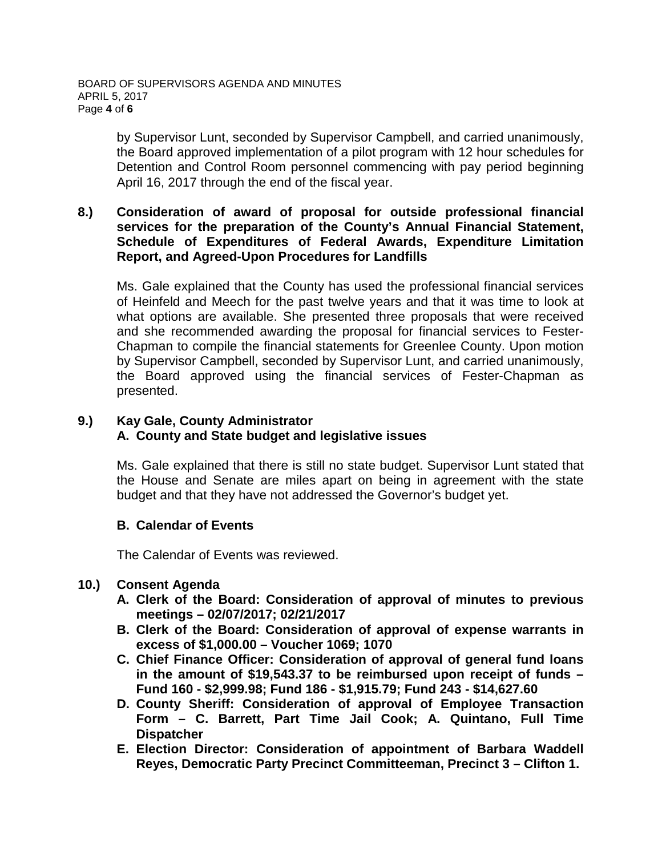by Supervisor Lunt, seconded by Supervisor Campbell, and carried unanimously, the Board approved implementation of a pilot program with 12 hour schedules for Detention and Control Room personnel commencing with pay period beginning April 16, 2017 through the end of the fiscal year.

## **8.) Consideration of award of proposal for outside professional financial services for the preparation of the County's Annual Financial Statement, Schedule of Expenditures of Federal Awards, Expenditure Limitation Report, and Agreed-Upon Procedures for Landfills**

Ms. Gale explained that the County has used the professional financial services of Heinfeld and Meech for the past twelve years and that it was time to look at what options are available. She presented three proposals that were received and she recommended awarding the proposal for financial services to Fester-Chapman to compile the financial statements for Greenlee County. Upon motion by Supervisor Campbell, seconded by Supervisor Lunt, and carried unanimously, the Board approved using the financial services of Fester-Chapman as presented.

# **9.) Kay Gale, County Administrator A. County and State budget and legislative issues**

Ms. Gale explained that there is still no state budget. Supervisor Lunt stated that the House and Senate are miles apart on being in agreement with the state budget and that they have not addressed the Governor's budget yet.

# **B. Calendar of Events**

The Calendar of Events was reviewed.

# **10.) Consent Agenda**

- **A. Clerk of the Board: Consideration of approval of minutes to previous meetings – 02/07/2017; 02/21/2017**
- **B. Clerk of the Board: Consideration of approval of expense warrants in excess of \$1,000.00 – Voucher 1069; 1070**
- **C. Chief Finance Officer: Consideration of approval of general fund loans in the amount of \$19,543.37 to be reimbursed upon receipt of funds – Fund 160 - \$2,999.98; Fund 186 - \$1,915.79; Fund 243 - \$14,627.60**
- **D. County Sheriff: Consideration of approval of Employee Transaction Form – C. Barrett, Part Time Jail Cook; A. Quintano, Full Time Dispatcher**
- **E. Election Director: Consideration of appointment of Barbara Waddell Reyes, Democratic Party Precinct Committeeman, Precinct 3 – Clifton 1.**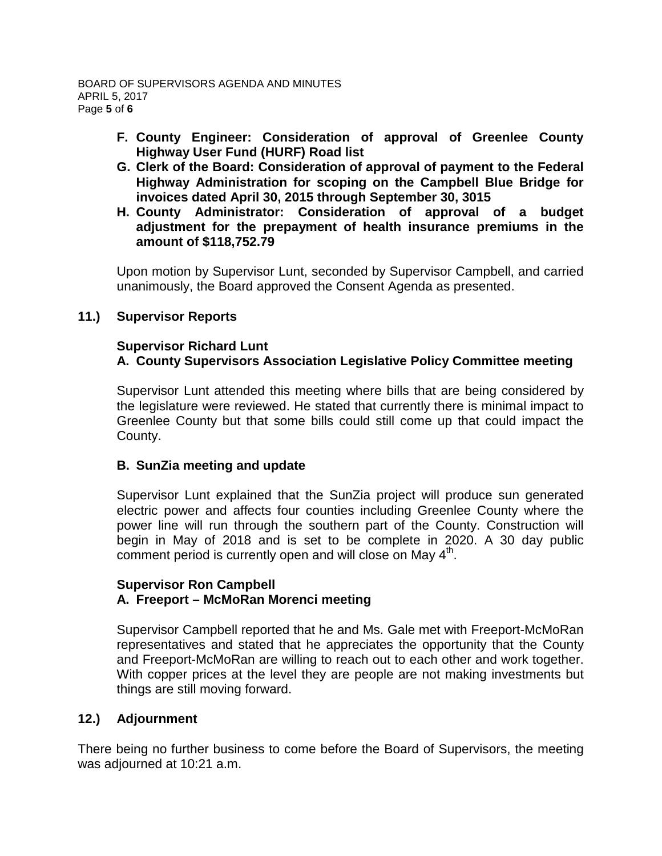- **F. County Engineer: Consideration of approval of Greenlee County Highway User Fund (HURF) Road list**
- **G. Clerk of the Board: Consideration of approval of payment to the Federal Highway Administration for scoping on the Campbell Blue Bridge for invoices dated April 30, 2015 through September 30, 3015**
- **H. County Administrator: Consideration of approval of a budget adjustment for the prepayment of health insurance premiums in the amount of \$118,752.79**

Upon motion by Supervisor Lunt, seconded by Supervisor Campbell, and carried unanimously, the Board approved the Consent Agenda as presented.

# **11.) Supervisor Reports**

## **Supervisor Richard Lunt A. County Supervisors Association Legislative Policy Committee meeting**

Supervisor Lunt attended this meeting where bills that are being considered by the legislature were reviewed. He stated that currently there is minimal impact to Greenlee County but that some bills could still come up that could impact the County.

# **B. SunZia meeting and update**

Supervisor Lunt explained that the SunZia project will produce sun generated electric power and affects four counties including Greenlee County where the power line will run through the southern part of the County. Construction will begin in May of 2018 and is set to be complete in 2020. A 30 day public comment period is currently open and will close on May  $4<sup>th</sup>$ .

#### **Supervisor Ron Campbell A. Freeport – McMoRan Morenci meeting**

Supervisor Campbell reported that he and Ms. Gale met with Freeport-McMoRan representatives and stated that he appreciates the opportunity that the County and Freeport-McMoRan are willing to reach out to each other and work together. With copper prices at the level they are people are not making investments but things are still moving forward.

# **12.) Adjournment**

There being no further business to come before the Board of Supervisors, the meeting was adjourned at 10:21 a.m.